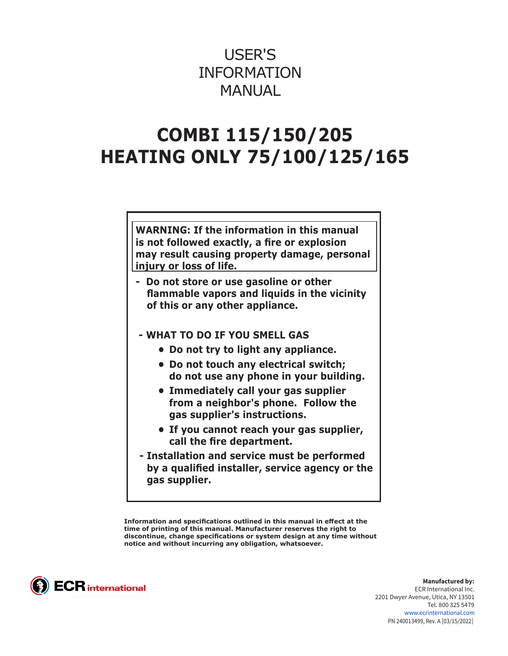# USER'S INFORMATION MANUAL

# **COMBI 115/150/205 HEATING ONLY 75/100/125/165**

**WARNING: If the information in this manual is not followed exactly, a fire or explosion may result causing property damage, personal injury or loss of life.**

- **Do not store or use gasoline or other flammable vapors and liquids in the vicinity of this or any other appliance.**
- **WHAT TO DO IF YOU SMELL GAS** 
	- **• Do not try to light any appliance.**
	- **• Do not touch any electrical switch; do not use any phone in your building.**
	- **• Immediately call your gas supplier from a neighbor's phone. Follow the gas supplier's instructions.**
	- **• If you cannot reach your gas supplier, call the fire department.**
- **Installation and service must be performed by a qualified installer, service agency or the gas supplier.**

**Information and specifications outlined in this manual in effect at the time of printing of this manual. Manufacturer reserves the right to discontinue, change specifications or system design at any time without notice and without incurring any obligation, whatsoever.**



**Manufactured by:** ECR International Inc. 2201 Dwyer Avenue, Utica, NY 13501 Tel. 800 325 5479 www.ecrinternational.com PN 240013499, Rev. A [03/15/2022]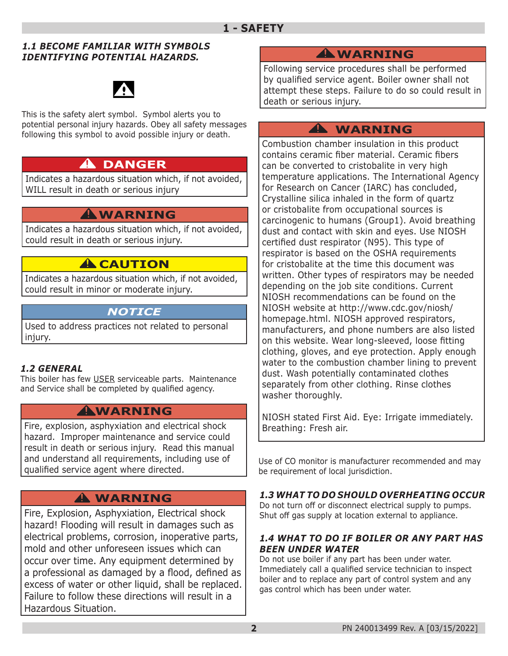#### *1.1 BECOME FAMILIAR WITH SYMBOLS IDENTIFYING POTENTIAL HAZARDS.*



This is the safety alert symbol. Symbol alerts you to potential personal injury hazards. Obey all safety messages following this symbol to avoid possible injury or death.

## **DANGER !**

Indicates a hazardous situation which, if not avoided, WILL result in death or serious injury

## **WARNING !**

Indicates a hazardous situation which, if not avoided, could result in death or serious injury.

## **A** CAUTION

Indicates a hazardous situation which, if not avoided, could result in minor or moderate injury.

## *NOTICE*

Used to address practices not related to personal injury.

#### *1.2 GENERAL*

This boiler has few USER serviceable parts. Maintenance and Service shall be completed by qualified agency.

## **WARNING !**

Fire, explosion, asphyxiation and electrical shock hazard. Improper maintenance and service could result in death or serious injury. Read this manual and understand all requirements, including use of qualified service agent where directed.

## **WARNING !**

Fire, Explosion, Asphyxiation, Electrical shock hazard! Flooding will result in damages such as electrical problems, corrosion, inoperative parts, mold and other unforeseen issues which can occur over time. Any equipment determined by a professional as damaged by a flood, defined as excess of water or other liquid, shall be replaced. Failure to follow these directions will result in a Hazardous Situation.

## **WARNING !**

Following service procedures shall be performed by qualified service agent. Boiler owner shall not attempt these steps. Failure to do so could result in death or serious injury.

## **WARNING !**

Combustion chamber insulation in this product contains ceramic fiber material. Ceramic fibers can be converted to cristobalite in very high temperature applications. The International Agency for Research on Cancer (IARC) has concluded, Crystalline silica inhaled in the form of quartz or cristobalite from occupational sources is carcinogenic to humans (Group1). Avoid breathing dust and contact with skin and eyes. Use NIOSH certified dust respirator (N95). This type of respirator is based on the OSHA requirements for cristobalite at the time this document was written. Other types of respirators may be needed depending on the job site conditions. Current NIOSH recommendations can be found on the NIOSH website at http://www.cdc.gov/niosh/ homepage.html. NIOSH approved respirators, manufacturers, and phone numbers are also listed on this website. Wear long-sleeved, loose fitting clothing, gloves, and eye protection. Apply enough water to the combustion chamber lining to prevent dust. Wash potentially contaminated clothes separately from other clothing. Rinse clothes washer thoroughly.

NIOSH stated First Aid. Eye: Irrigate immediately. Breathing: Fresh air.

Use of CO monitor is manufacturer recommended and may be requirement of local jurisdiction.

#### *1.3 WHAT TO DO SHOULD OVERHEATING OCCUR*

Do not turn off or disconnect electrical supply to pumps. Shut off gas supply at location external to appliance.

#### *1.4 WHAT TO DO IF BOILER OR ANY PART HAS BEEN UNDER WATER*

Do not use boiler if any part has been under water. Immediately call a qualified service technician to inspect boiler and to replace any part of control system and any gas control which has been under water.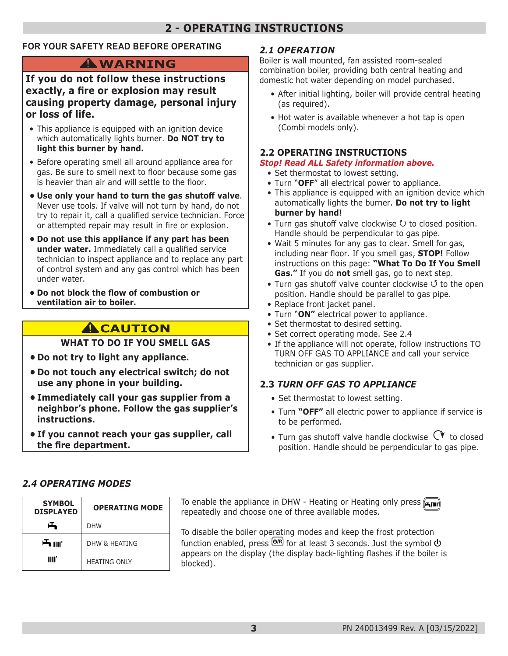## **2 - OPERATING INSTRUCTIONS**

#### **FOR YOUR SAFETY READ BEFORE OPERATING**

## **WARNING !**

#### **If you do not follow these instructions exactly, a fire or explosion may result causing property damage, personal injury or loss of life.**

- This appliance is equipped with an ignition device which automatically lights burner. **Do NOT try to light this burner by hand.**
- Before operating smell all around appliance area for gas. Be sure to smell next to floor because some gas is heavier than air and will settle to the floor.
- **• Use only your hand to turn the gas shutoff valve**. Never use tools. If valve will not turn by hand, do not try to repair it, call a qualified service technician. Force or attempted repair may result in fire or explosion.
- **• Do not use this appliance if any part has been under water.** Immediately call a qualified service technician to inspect appliance and to replace any part of control system and any gas control which has been under water.
- **• Do not block the flow of combustion or ventilation air to boiler.**

## **A**CAUTION

#### **WHAT TO DO IF YOU SMELL GAS**

- **• Do not try to light any appliance.**
- **• Do not touch any electrical switch; do not use any phone in your building.**
- **• Immediately call your gas supplier from a neighbor's phone. Follow the gas supplier's instructions.**
- **• If you cannot reach your gas supplier, call the fire department.**

#### *2.1 OPERATION*

Boiler is wall mounted, fan assisted room-sealed combination boiler, providing both central heating and domestic hot water depending on model purchased.

- After initial lighting, boiler will provide central heating (as required).
- Hot water is available whenever a hot tap is open (Combi models only).

#### **2.2 OPERATING INSTRUCTIONS**

#### *Stop! Read ALL Safety information above.*

- Set thermostat to lowest setting.
- Turn "**OFF**" all electrical power to appliance.
- This appliance is equipped with an ignition device which automatically lights the burner. **Do not try to light burner by hand!**
- Turn gas shutoff valve clockwise  $U$  to closed position. Handle should be perpendicular to gas pipe.
- Wait 5 minutes for any gas to clear. Smell for gas, including near floor. If you smell gas, **STOP!** Follow instructions on this page: **"What To Do If You Smell Gas."** If you do **not** smell gas, go to next step.
- Turn gas shutoff valve counter clockwise  $\circ$  to the open position. Handle should be parallel to gas pipe.
- Replace front jacket panel.
- Turn "**ON"** electrical power to appliance.
- Set thermostat to desired setting.
- Set correct operating mode. See 2.4
- If the appliance will not operate, follow instructions TO TURN OFF GAS TO APPLIANCE and call your service technician or gas supplier.

#### **2.3** *TURN OFF GAS TO APPLIANCE*

- Set thermostat to lowest setting.
- Turn **"OFF"** all electric power to appliance if service is to be performed.
- Turn gas shutoff valve handle clockwise  $\mathbb{C}^{\blacktriangledown}$  to closed position. Handle should be perpendicular to gas pipe.

#### *2.4 OPERATING MODES*

| <b>SYMBOL</b>    | <b>OPERATING MODE</b> |
|------------------|-----------------------|
| <b>DISPLAYED</b> |                       |
| 凸                | <b>DHW</b>            |
| <b>一</b> IIII.   | DHW & HFATING         |
| IIII.            | <b>HEATING ONLY</b>   |

**To enable the appliance in DHW - Heating or Heating only press <b>Figure** repeatedly and choose one of three available modes.

To disable the boiler operating modes and keep the frost protection function enabled, press  $\overline{\text{O}^{(R)}}$  for at least 3 seconds. Just the symbol  $\overline{\text{O}}$ appears on the display (the display back-lighting flashes if the boiler is blocked).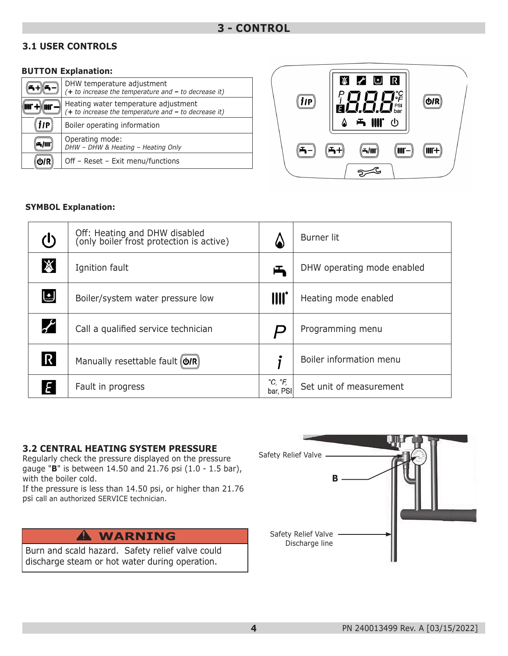#### **3.1 USER CONTROLS**

#### **BUTTON Explanation:**

|     | DHW temperature adjustment<br>$(+ to increase the temperature and - to decrease it)$           |
|-----|------------------------------------------------------------------------------------------------|
|     | Heating water temperature adjustment<br>$(+ to increase the temperature and - to decrease it)$ |
| 11P | Boiler operating information                                                                   |
|     | Operating mode:<br>DHW - DHW & Heating - Heating Only                                          |
|     | Off - Reset - Exit menu/functions                                                              |



#### **SYMBOL Explanation:**

| $\mathcal{L}$         | Off: Heating and DHW disabled<br>(only boiler frost protection is active) |                                     | Burner lit                 |
|-----------------------|---------------------------------------------------------------------------|-------------------------------------|----------------------------|
| $\cancel{\mathbb{X}}$ | Ignition fault                                                            | 凸                                   | DHW operating mode enabled |
| リ                     | Boiler/system water pressure low                                          | III.                                | Heating mode enabled       |
| $\boldsymbol{r}$      | Call a qualified service technician                                       |                                     | Programming menu           |
| $\mathsf R$           | Manually resettable fault (O/R)                                           |                                     | Boiler information menu    |
| E                     | Fault in progress                                                         | $^{\circ}C, ^{\circ}F,$<br>bar, PSI | Set unit of measurement    |

#### **3.2 CENTRAL HEATING SYSTEM PRESSURE**

Regularly check the pressure displayed on the pressure gauge "**B**" is between 14.50 and 21.76 psi (1.0 - 1.5 bar), with the boiler cold.

If the pressure is less than 14.50 psi, or higher than 21.76 psi call an authorized SERVICE technician.

Burn and scald hazard. Safety relief valve could discharge steam or hot water during operation.

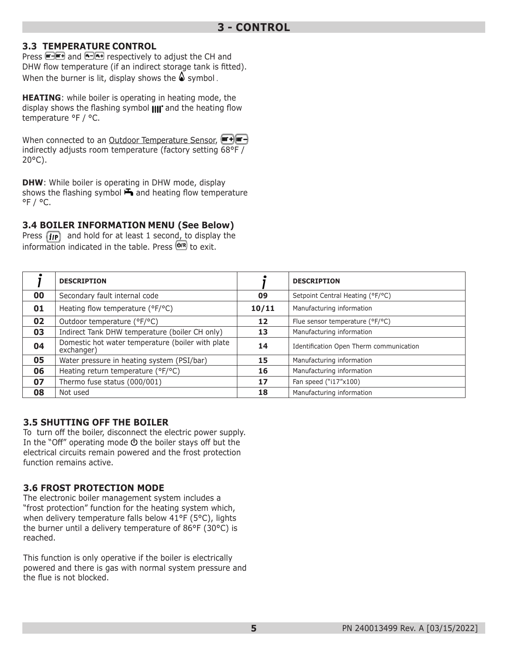#### **3.3 TEMPERATURE CONTROL**

Press **and and 6-6+** respectively to adjust the CH and DHW flow temperature (if an indirect storage tank is fitted). When the burner is lit, display shows the  $\triangle$  symbol.

**HEATING**: while boiler is operating in heating mode, the display shows the flashing symbol  $\text{III}^*$  and the heating flow temperature °F / °C.

When connected to an Outdoor Temperature Sensor, (Form +) (The H) indirectly adjusts room temperature (factory setting 68°F / 20°C).

**DHW**: While boiler is operating in DHW mode, display shows the flashing symbol  $\blacktriangleright$  and heating flow temperature  $^{\circ}$ F /  $^{\circ}$ C.

#### **3.4 BOILER INFORMATION MENU (See Below)**

Press  $\left(\mathbf{i}\mathbf{p}\right)$  and hold for at least 1 second, to display the information indicated in the table. Press  $\overline{\text{Q/R}}$  to exit.

|    | <b>DESCRIPTION</b>                                              |       | <b>DESCRIPTION</b>                      |
|----|-----------------------------------------------------------------|-------|-----------------------------------------|
| 00 | Secondary fault internal code                                   | 09    | Setpoint Central Heating (°F/°C)        |
| 01 | Heating flow temperature (°F/°C)                                | 10/11 | Manufacturing information               |
| 02 | Outdoor temperature (°F/°C)                                     | 12    | Flue sensor temperature (°F/°C)         |
| 03 | Indirect Tank DHW temperature (boiler CH only)                  | 13    | Manufacturing information               |
| 04 | Domestic hot water temperature (boiler with plate<br>exchanger) | 14    | Identification Open Therm communication |
| 05 | Water pressure in heating system (PSI/bar)                      | 15    | Manufacturing information               |
| 06 | Heating return temperature (°F/°C)                              | 16    | Manufacturing information               |
| 07 | Thermo fuse status (000/001)                                    | 17    | Fan speed ("i17"x100)                   |
| 08 | Not used                                                        | 18    | Manufacturing information               |

#### **3.5 SHUTTING OFF THE BOILER**

To turn off the boiler, disconnect the electric power supply. In the "Off" operating mode  $\Phi$  the boiler stays off but the electrical circuits remain powered and the frost protection function remains active.

#### **3.6 FROST PROTECTION MODE**

The electronic boiler management system includes a "frost protection" function for the heating system which, when delivery temperature falls below 41°F (5°C), lights the burner until a delivery temperature of 86°F (30°C) is reached.

This function is only operative if the boiler is electrically powered and there is gas with normal system pressure and the flue is not blocked.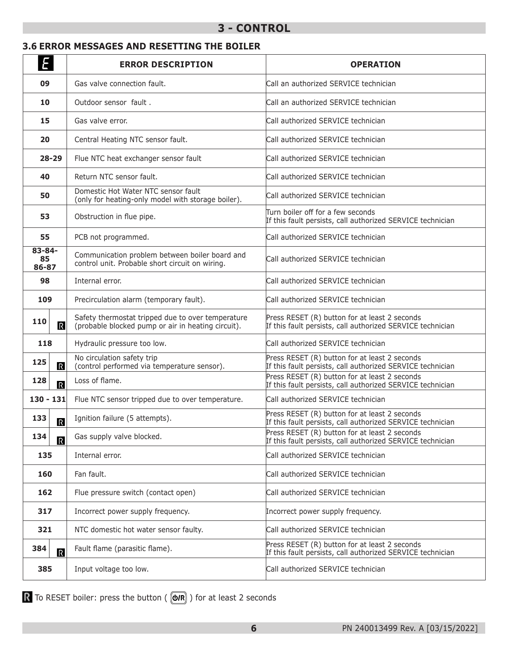### **3 - CONTROL**

#### **3.6 ERROR MESSAGES AND RESETTING THE BOILER**

| Ε                              | <b>ERROR DESCRIPTION</b>                                                                                | <b>OPERATION</b>                                                                                            |
|--------------------------------|---------------------------------------------------------------------------------------------------------|-------------------------------------------------------------------------------------------------------------|
| 09                             | Gas valve connection fault.                                                                             | Call an authorized SERVICE technician                                                                       |
| 10                             | Outdoor sensor fault.                                                                                   | Call an authorized SERVICE technician                                                                       |
| 15                             | Gas valve error.                                                                                        | Call authorized SERVICE technician                                                                          |
| 20                             | Central Heating NTC sensor fault.                                                                       | Call authorized SERVICE technician                                                                          |
| $28 - 29$                      | Flue NTC heat exchanger sensor fault                                                                    | Call authorized SERVICE technician                                                                          |
| 40                             | Return NTC sensor fault.                                                                                | Call authorized SERVICE technician                                                                          |
| 50                             | Domestic Hot Water NTC sensor fault<br>(only for heating-only model with storage boiler).               | Call authorized SERVICE technician                                                                          |
| 53                             | Obstruction in flue pipe.                                                                               | Turn boiler off for a few seconds<br>If this fault persists, call authorized SERVICE technician             |
| 55                             | PCB not programmed.                                                                                     | Call authorized SERVICE technician                                                                          |
| $83 - 84 -$<br>85<br>86-87     | Communication problem between boiler board and<br>control unit. Probable short circuit on wiring.       | Call authorized SERVICE technician                                                                          |
| 98                             | Internal error.                                                                                         | Call authorized SERVICE technician                                                                          |
| 109                            | Precirculation alarm (temporary fault).                                                                 | Call authorized SERVICE technician                                                                          |
| 110<br>$\mathbb{R}$            | Safety thermostat tripped due to over temperature<br>(probable blocked pump or air in heating circuit). | Press RESET (R) button for at least 2 seconds<br>If this fault persists, call authorized SERVICE technician |
| 118                            | Hydraulic pressure too low.                                                                             | Call authorized SERVICE technician                                                                          |
| 125<br>$\mathbb R$             | No circulation safety trip<br>(control performed via temperature sensor).                               | Press RESET (R) button for at least 2 seconds<br>If this fault persists, call authorized SERVICE technician |
| 128<br>$\overline{R}$          | Loss of flame.                                                                                          | Press RESET (R) button for at least 2 seconds<br>If this fault persists, call authorized SERVICE technician |
| $130 - 131$                    | Flue NTC sensor tripped due to over temperature.                                                        | Call authorized SERVICE technician                                                                          |
| 133<br>$\overline{\mathbb{R}}$ | Ignition failure (5 attempts).                                                                          | Press RESET (R) button for at least 2 seconds<br>If this fault persists, call authorized SERVICE technician |
| 134<br>$\overline{\mathbb{R}}$ | Gas supply valve blocked.                                                                               | Press RESET (R) button for at least 2 seconds<br>If this fault persists, call authorized SERVICE technician |
| 135                            | Internal error.                                                                                         | Call authorized SERVICE technician                                                                          |
| 160                            | Fan fault.                                                                                              | Call authorized SERVICE technician                                                                          |
| 162                            | Flue pressure switch (contact open)                                                                     | Call authorized SERVICE technician                                                                          |
| 317                            | Incorrect power supply frequency.                                                                       | Incorrect power supply frequency.                                                                           |
| 321                            | NTC domestic hot water sensor faulty.                                                                   | Call authorized SERVICE technician                                                                          |
| 384<br>$\overline{\mathbb{R}}$ | Fault flame (parasitic flame).                                                                          | Press RESET (R) button for at least 2 seconds<br>If this fault persists, call authorized SERVICE technician |
| 385                            | Input voltage too low.                                                                                  | Call authorized SERVICE technician                                                                          |

To RESET boiler: press the button ( $($   $\circledR$ ) for at least 2 seconds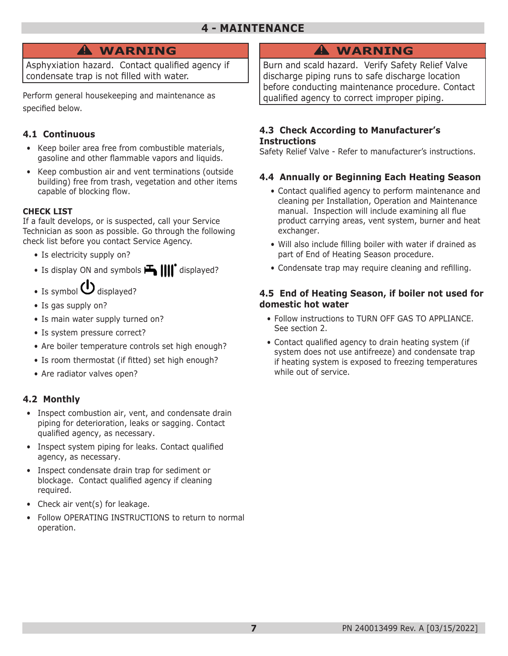## **WARNING !**

Asphyxiation hazard. Contact qualified agency if condensate trap is not filled with water.

Perform general housekeeping and maintenance as specified below.

#### **4.1 Continuous**

- Keep boiler area free from combustible materials, gasoline and other flammable vapors and liquids.
- Keep combustion air and vent terminations (outside building) free from trash, vegetation and other items capable of blocking flow.

#### **CHECK LIST**

If a fault develops, or is suspected, call your Service Technician as soon as possible. Go through the following check list before you contact Service Agency.

- Is electricity supply on?
- Is display ON and symbols  $\mathbf{H}$   $\text{||} \text{||}^{\bullet}$  displayed?
- Is symbol  $\bigcup$  displayed?
- Is gas supply on?
- Is main water supply turned on?
- Is system pressure correct?
- Are boiler temperature controls set high enough?
- Is room thermostat (if fitted) set high enough?
- Are radiator valves open?

#### **4.2 Monthly**

- Inspect combustion air, vent, and condensate drain piping for deterioration, leaks or sagging. Contact qualified agency, as necessary.
- Inspect system piping for leaks. Contact qualified agency, as necessary.
- Inspect condensate drain trap for sediment or blockage. Contact qualified agency if cleaning required.
- Check air vent(s) for leakage.
- Follow OPERATING INSTRUCTIONS to return to normal operation.

## **WARNING !**

Burn and scald hazard. Verify Safety Relief Valve discharge piping runs to safe discharge location before conducting maintenance procedure. Contact qualified agency to correct improper piping.

#### **4.3 Check According to Manufacturer's Instructions**

Safety Relief Valve - Refer to manufacturer's instructions.

#### **4.4 Annually or Beginning Each Heating Season**

- Contact qualified agency to perform maintenance and cleaning per Installation, Operation and Maintenance manual. Inspection will include examining all flue product carrying areas, vent system, burner and heat exchanger.
- Will also include filling boiler with water if drained as part of End of Heating Season procedure.
- Condensate trap may require cleaning and refilling.

#### **4.5 End of Heating Season, if boiler not used for domestic hot water**

- Follow instructions to TURN OFF GAS TO APPLIANCE. See section 2.
- Contact qualified agency to drain heating system (if system does not use antifreeze) and condensate trap if heating system is exposed to freezing temperatures while out of service.